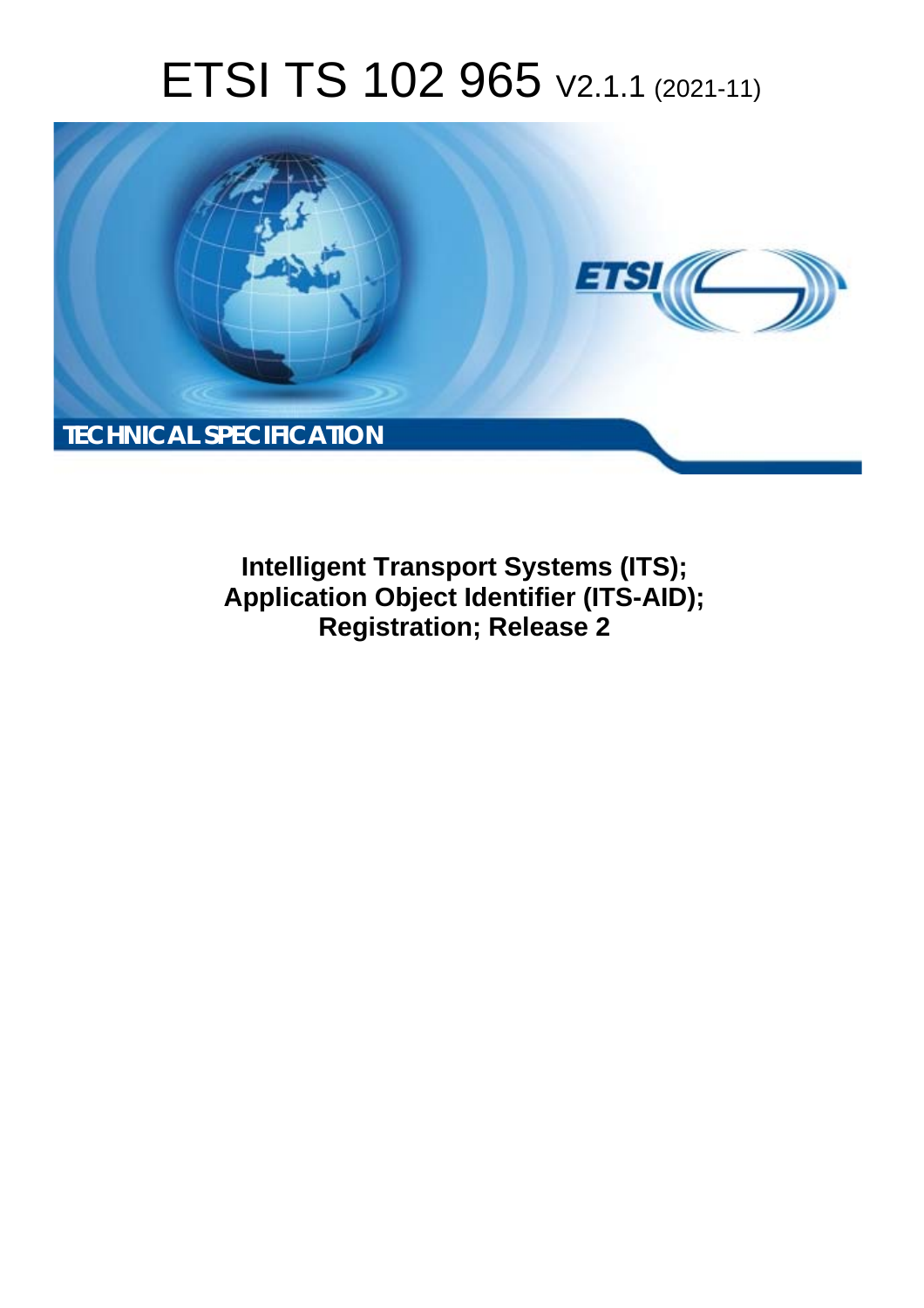# ETSI TS 102 965 V2.1.1 (2021-11)



**Intelligent Transport Systems (ITS);**  Application Object Identifier (ITS-AID); **Registration; Release 2**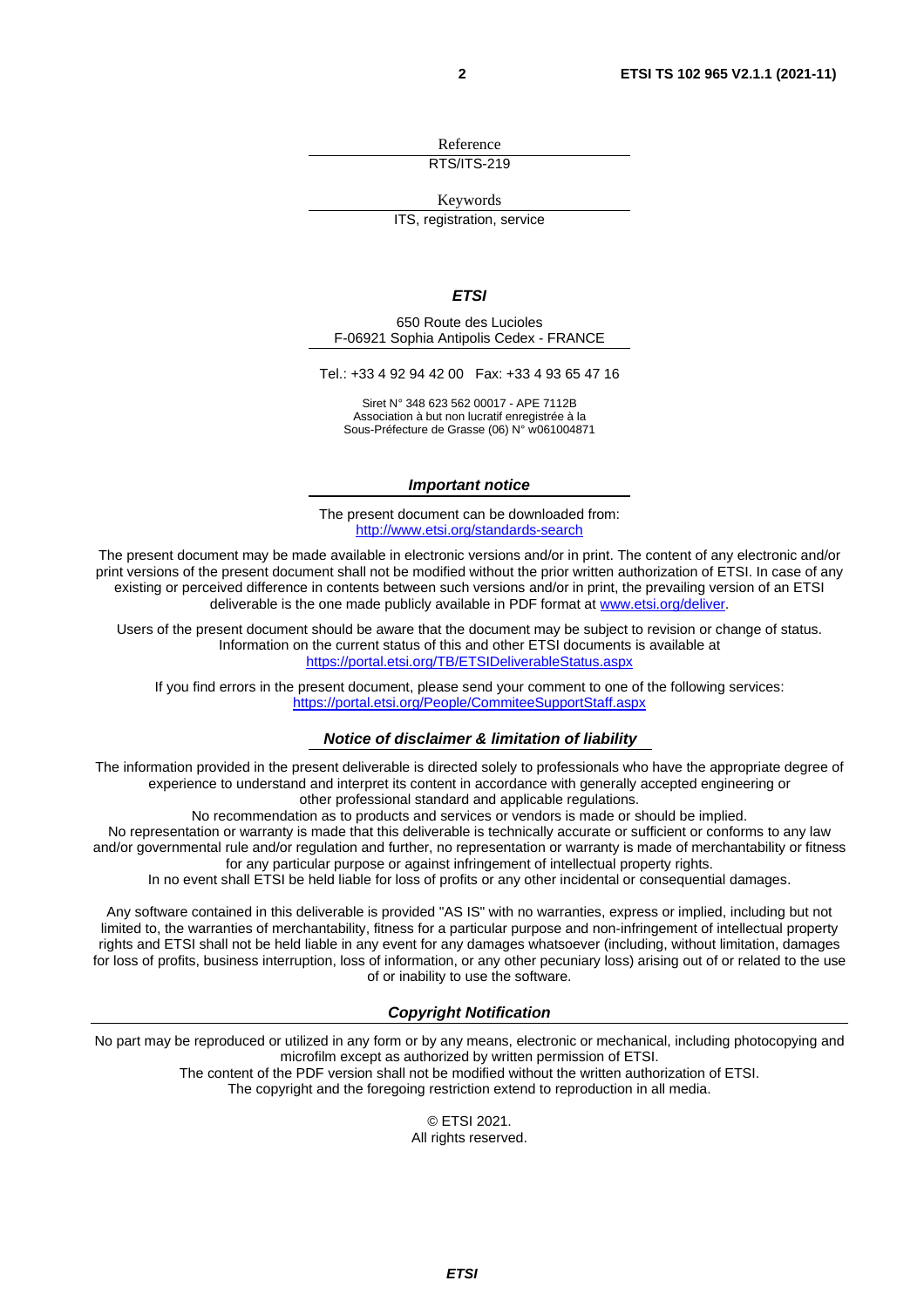Reference RTS/ITS-219

Keywords

ITS, registration, service

#### *ETSI*

650 Route des Lucioles F-06921 Sophia Antipolis Cedex - FRANCE

Tel.: +33 4 92 94 42 00 Fax: +33 4 93 65 47 16

Siret N° 348 623 562 00017 - APE 7112B Association à but non lucratif enregistrée à la Sous-Préfecture de Grasse (06) N° w061004871

#### *Important notice*

The present document can be downloaded from: <http://www.etsi.org/standards-search>

The present document may be made available in electronic versions and/or in print. The content of any electronic and/or print versions of the present document shall not be modified without the prior written authorization of ETSI. In case of any existing or perceived difference in contents between such versions and/or in print, the prevailing version of an ETSI deliverable is the one made publicly available in PDF format at [www.etsi.org/deliver.](http://www.etsi.org/deliver)

Users of the present document should be aware that the document may be subject to revision or change of status. Information on the current status of this and other ETSI documents is available at <https://portal.etsi.org/TB/ETSIDeliverableStatus.aspx>

If you find errors in the present document, please send your comment to one of the following services: <https://portal.etsi.org/People/CommiteeSupportStaff.aspx>

#### *Notice of disclaimer & limitation of liability*

The information provided in the present deliverable is directed solely to professionals who have the appropriate degree of experience to understand and interpret its content in accordance with generally accepted engineering or other professional standard and applicable regulations.

No recommendation as to products and services or vendors is made or should be implied.

No representation or warranty is made that this deliverable is technically accurate or sufficient or conforms to any law and/or governmental rule and/or regulation and further, no representation or warranty is made of merchantability or fitness for any particular purpose or against infringement of intellectual property rights.

In no event shall ETSI be held liable for loss of profits or any other incidental or consequential damages.

Any software contained in this deliverable is provided "AS IS" with no warranties, express or implied, including but not limited to, the warranties of merchantability, fitness for a particular purpose and non-infringement of intellectual property rights and ETSI shall not be held liable in any event for any damages whatsoever (including, without limitation, damages for loss of profits, business interruption, loss of information, or any other pecuniary loss) arising out of or related to the use of or inability to use the software.

#### *Copyright Notification*

No part may be reproduced or utilized in any form or by any means, electronic or mechanical, including photocopying and microfilm except as authorized by written permission of ETSI. The content of the PDF version shall not be modified without the written authorization of ETSI.

The copyright and the foregoing restriction extend to reproduction in all media.

© ETSI 2021. All rights reserved.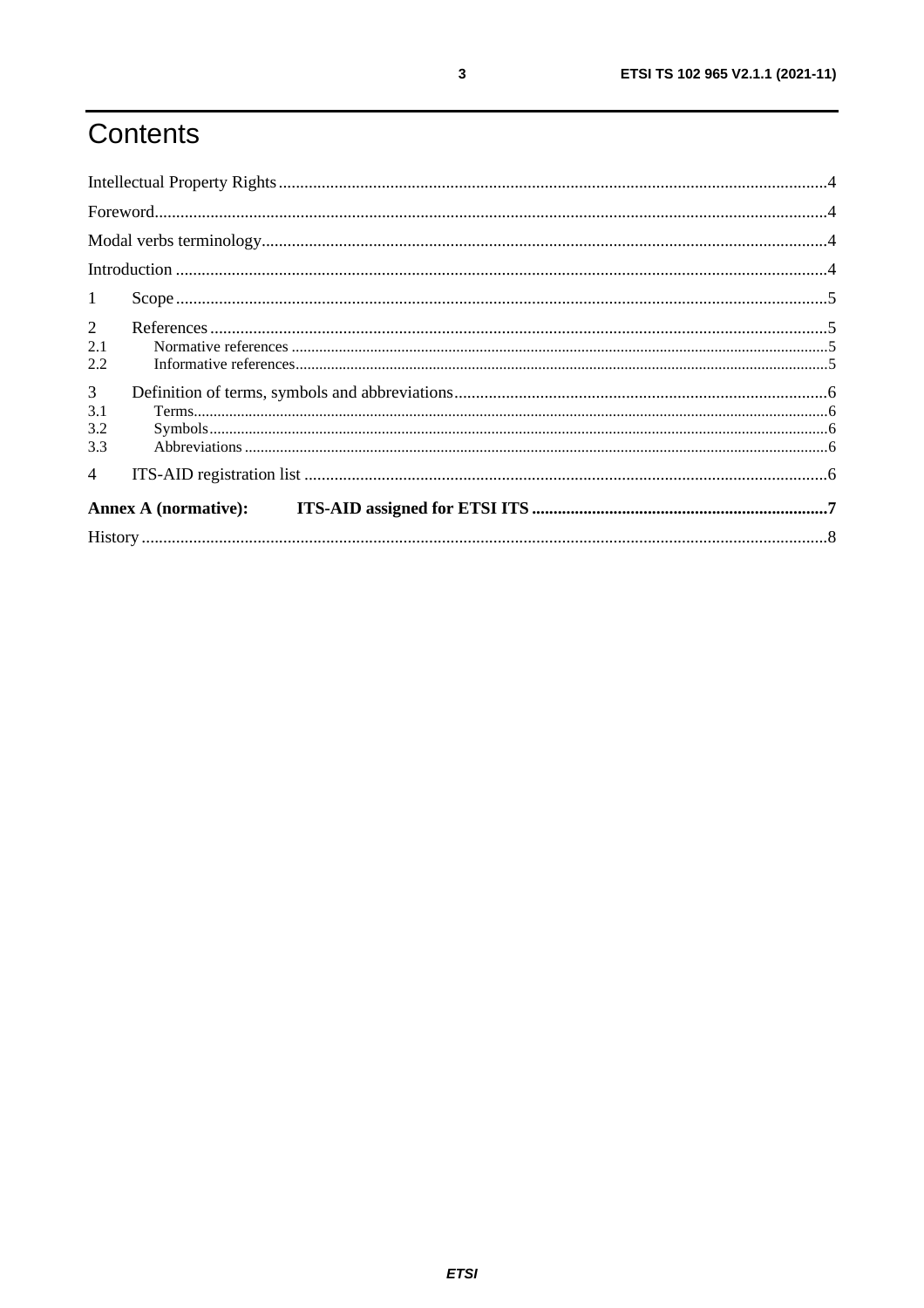# Contents

| $\mathbf{1}$                        |  |  |  |
|-------------------------------------|--|--|--|
| $2^{\circ}$<br>2.1<br>2.2           |  |  |  |
| $\mathfrak{Z}$<br>3.1<br>3.2<br>3.3 |  |  |  |
| $\overline{4}$                      |  |  |  |
| <b>Annex A (normative):</b>         |  |  |  |
|                                     |  |  |  |

 $\mathbf{3}$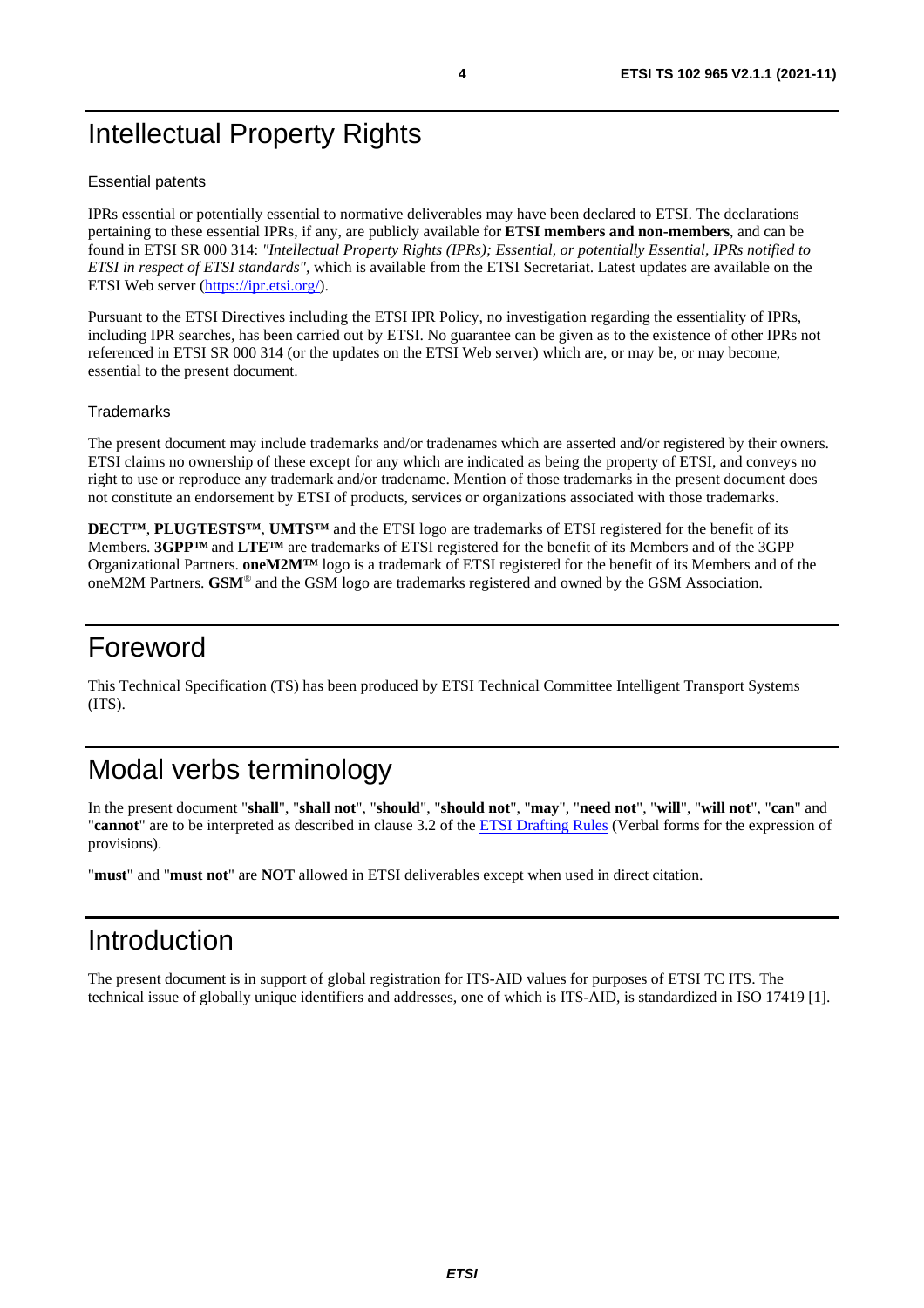# <span id="page-3-0"></span>Intellectual Property Rights

#### Essential patents

IPRs essential or potentially essential to normative deliverables may have been declared to ETSI. The declarations pertaining to these essential IPRs, if any, are publicly available for **ETSI members and non-members**, and can be found in ETSI SR 000 314: *"Intellectual Property Rights (IPRs); Essential, or potentially Essential, IPRs notified to ETSI in respect of ETSI standards"*, which is available from the ETSI Secretariat. Latest updates are available on the ETSI Web server [\(https://ipr.etsi.org/](https://ipr.etsi.org/)).

Pursuant to the ETSI Directives including the ETSI IPR Policy, no investigation regarding the essentiality of IPRs, including IPR searches, has been carried out by ETSI. No guarantee can be given as to the existence of other IPRs not referenced in ETSI SR 000 314 (or the updates on the ETSI Web server) which are, or may be, or may become, essential to the present document.

#### **Trademarks**

The present document may include trademarks and/or tradenames which are asserted and/or registered by their owners. ETSI claims no ownership of these except for any which are indicated as being the property of ETSI, and conveys no right to use or reproduce any trademark and/or tradename. Mention of those trademarks in the present document does not constitute an endorsement by ETSI of products, services or organizations associated with those trademarks.

**DECT™**, **PLUGTESTS™**, **UMTS™** and the ETSI logo are trademarks of ETSI registered for the benefit of its Members. **3GPP™** and **LTE™** are trademarks of ETSI registered for the benefit of its Members and of the 3GPP Organizational Partners. **oneM2M™** logo is a trademark of ETSI registered for the benefit of its Members and of the oneM2M Partners. **GSM**® and the GSM logo are trademarks registered and owned by the GSM Association.

### Foreword

This Technical Specification (TS) has been produced by ETSI Technical Committee Intelligent Transport Systems (ITS).

# Modal verbs terminology

In the present document "**shall**", "**shall not**", "**should**", "**should not**", "**may**", "**need not**", "**will**", "**will not**", "**can**" and "**cannot**" are to be interpreted as described in clause 3.2 of the [ETSI Drafting Rules](https://portal.etsi.org/Services/editHelp!/Howtostart/ETSIDraftingRules.aspx) (Verbal forms for the expression of provisions).

"**must**" and "**must not**" are **NOT** allowed in ETSI deliverables except when used in direct citation.

### Introduction

The present document is in support of global registration for ITS-AID values for purposes of ETSI TC ITS. The technical issue of globally unique identifiers and addresses, one of which is ITS-AID, is standardized in ISO 17419 [\[1](#page-4-0)].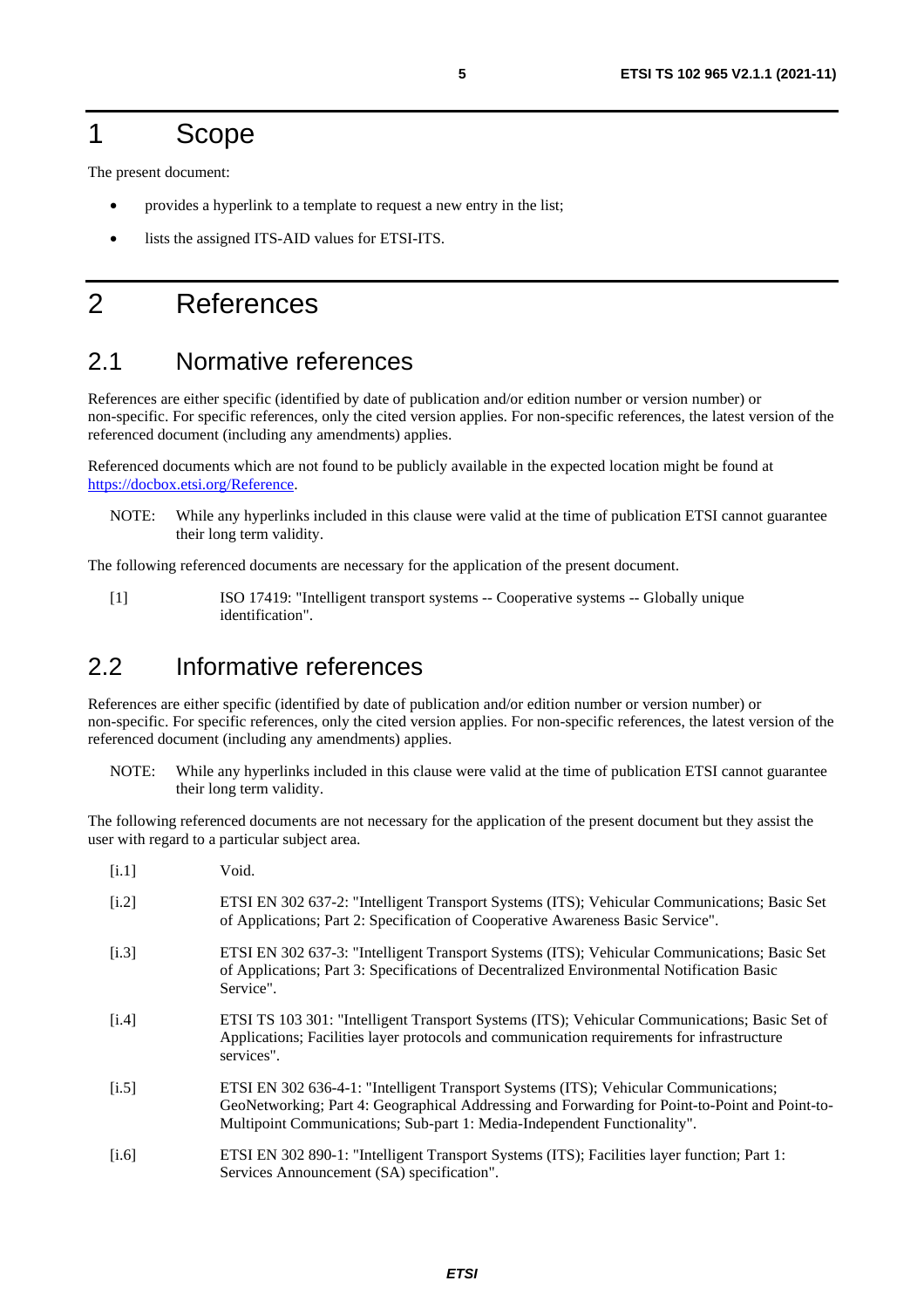### <span id="page-4-0"></span>1 Scope

The present document:

- provides a hyperlink to a template to request a new entry in the list;
- lists the assigned ITS-AID values for ETSI-ITS.

### 2 References

#### 2.1 Normative references

References are either specific (identified by date of publication and/or edition number or version number) or non-specific. For specific references, only the cited version applies. For non-specific references, the latest version of the referenced document (including any amendments) applies.

Referenced documents which are not found to be publicly available in the expected location might be found at <https://docbox.etsi.org/Reference>.

NOTE: While any hyperlinks included in this clause were valid at the time of publication ETSI cannot guarantee their long term validity.

The following referenced documents are necessary for the application of the present document.

[1] ISO 17419: "Intelligent transport systems -- Cooperative systems -- Globally unique identification".

### 2.2 Informative references

References are either specific (identified by date of publication and/or edition number or version number) or non-specific. For specific references, only the cited version applies. For non-specific references, the latest version of the referenced document (including any amendments) applies.

NOTE: While any hyperlinks included in this clause were valid at the time of publication ETSI cannot guarantee their long term validity.

The following referenced documents are not necessary for the application of the present document but they assist the user with regard to a particular subject area.

| [i.1] | Void.                                                                                                                                                                                                                                                              |
|-------|--------------------------------------------------------------------------------------------------------------------------------------------------------------------------------------------------------------------------------------------------------------------|
| [i.2] | ETSI EN 302 637-2: "Intelligent Transport Systems (ITS); Vehicular Communications; Basic Set<br>of Applications; Part 2: Specification of Cooperative Awareness Basic Service".                                                                                    |
| [i.3] | ETSI EN 302 637-3: "Intelligent Transport Systems (ITS); Vehicular Communications; Basic Set<br>of Applications; Part 3: Specifications of Decentralized Environmental Notification Basic<br>Service".                                                             |
| [i.4] | ETSI TS 103 301: "Intelligent Transport Systems (ITS); Vehicular Communications; Basic Set of<br>Applications; Facilities layer protocols and communication requirements for infrastructure<br>services".                                                          |
| [i.5] | ETSI EN 302 636-4-1: "Intelligent Transport Systems (ITS); Vehicular Communications;<br>GeoNetworking; Part 4: Geographical Addressing and Forwarding for Point-to-Point and Point-to-<br>Multipoint Communications; Sub-part 1: Media-Independent Functionality". |
| [i.6] | ETSI EN 302 890-1: "Intelligent Transport Systems (ITS); Facilities layer function; Part 1:<br>Services Announcement (SA) specification".                                                                                                                          |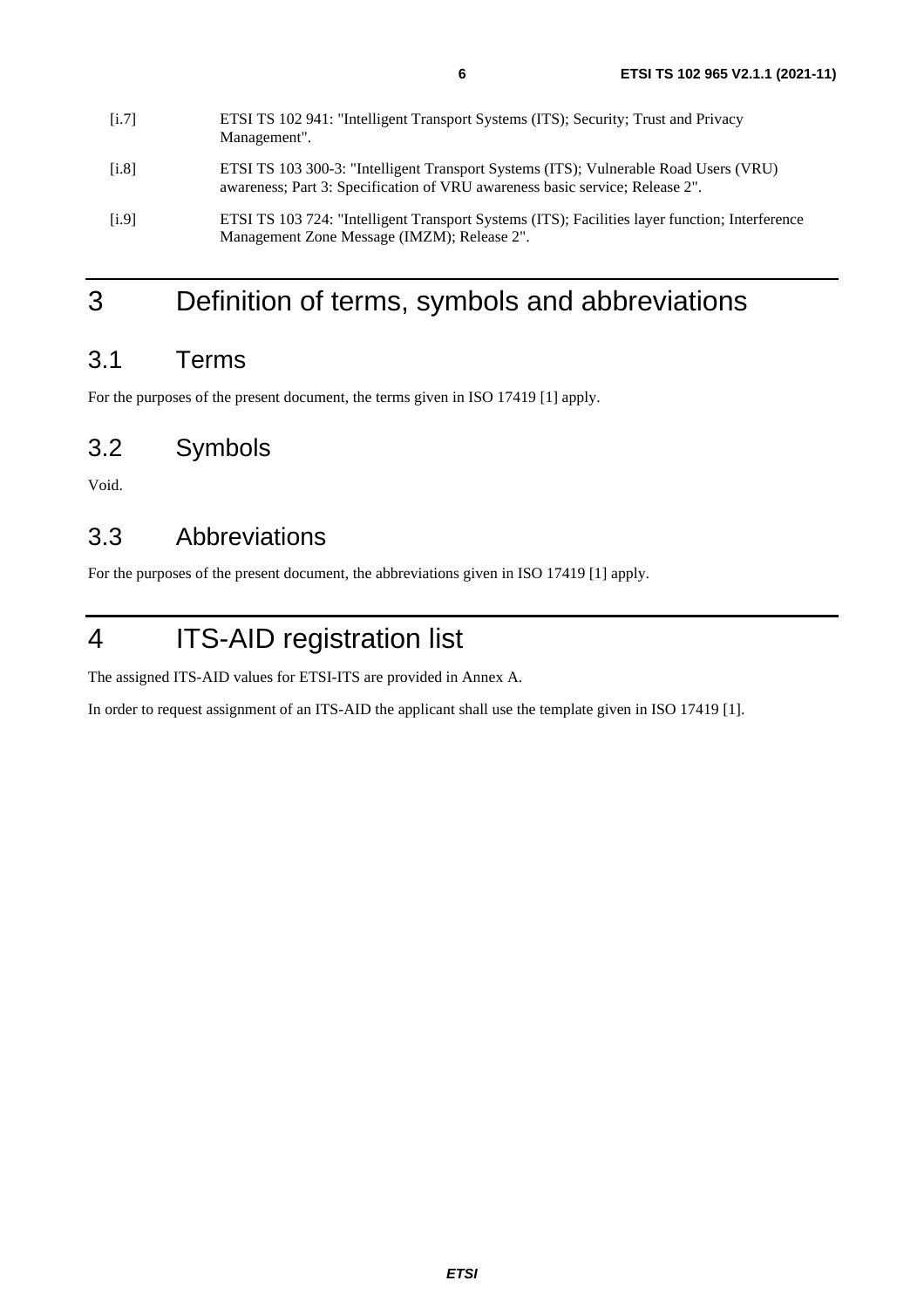| 11.71 | Let 51 15 102 941. Interngent Transport Systems (115), Security, Trust and Firvacy<br>Management".                                                                   |
|-------|----------------------------------------------------------------------------------------------------------------------------------------------------------------------|
| [i.8] | ETSI TS 103 300-3: "Intelligent Transport Systems (ITS); Vulnerable Road Users (VRU)<br>awareness; Part 3: Specification of VRU awareness basic service; Release 2". |
| [i.9] | ETSI TS 103 724: "Intelligent Transport Systems (ITS); Facilities layer function; Interference<br>Management Zone Message (IMZM); Release 2".                        |

<span id="page-5-0"></span> $[1.7]$  ETGI TS 102 041: "Intelligent Transport Systems (ITS); Security; Trust and Privacy

# 3 Definition of terms, symbols and abbreviations

### 3.1 Terms

For the purposes of the present document, the terms given in ISO 17419 [\[1](#page-4-0)] apply.

### 3.2 Symbols

Void.

### 3.3 Abbreviations

For the purposes of the present document, the abbreviations given in ISO 17419 [\[1](#page-4-0)] apply.

# 4 ITS-AID registration list

The assigned ITS-AID values for ETSI-ITS are provided in Annex A.

In order to request assignment of an ITS-AID the applicant shall use the template given in ISO 17419 [[1\]](#page-4-0).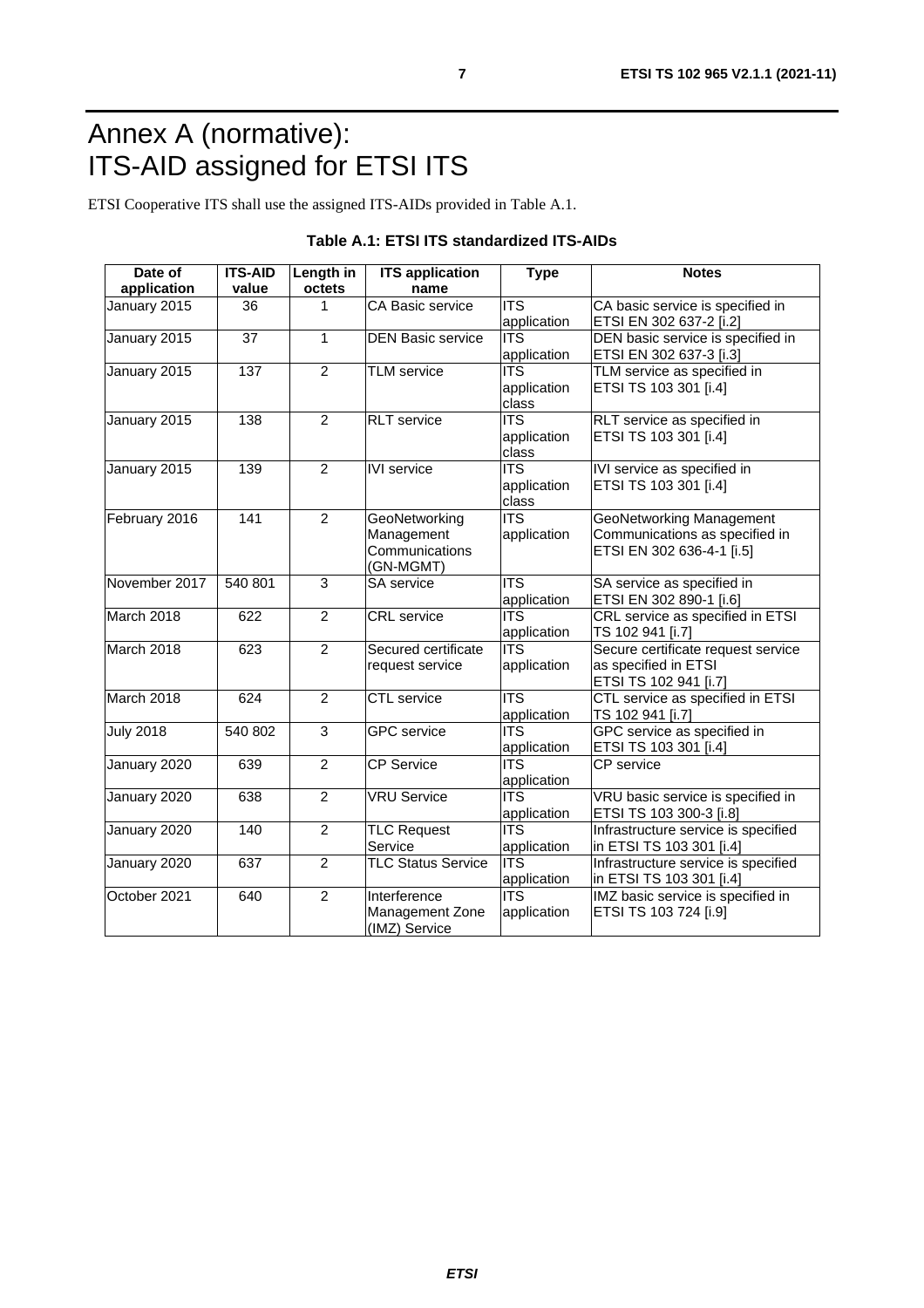# <span id="page-6-0"></span>Annex A (normative): ITS-AID assigned for ETSI ITS

ETSI Cooperative ITS shall use the assigned ITS-AIDs provided in Table A.1.

| Date of<br>application | <b>ITS-AID</b><br>value | Length in<br>octets | <b>ITS</b> application<br>name                             | <b>Type</b>                                         | <b>Notes</b>                                                                                   |
|------------------------|-------------------------|---------------------|------------------------------------------------------------|-----------------------------------------------------|------------------------------------------------------------------------------------------------|
| January 2015           | 36                      | 1                   | CA Basic service                                           | $\overline{ITS}$<br>application                     | CA basic service is specified in<br>ETSI EN 302 637-2 [i.2]                                    |
| January 2015           | $\overline{37}$         | $\mathbf{1}$        | <b>DEN Basic service</b>                                   | <b>ITS</b><br>application                           | DEN basic service is specified in<br>ETSI EN 302 637-3 [i.3]                                   |
| January 2015           | 137                     | $\overline{2}$      | <b>TLM</b> service                                         | <b>ITS</b><br>application<br>class                  | TLM service as specified in<br>ETSI TS 103 301 [i.4]                                           |
| January 2015           | 138                     | $\overline{2}$      | <b>RLT</b> service                                         | <b>ITS</b><br>application<br>class                  | RLT service as specified in<br>ETSI TS 103 301 [i.4]                                           |
| January 2015           | 139                     | $\overline{2}$      | <b>IVI</b> service                                         | <b>ITS</b><br>application<br>class                  | IVI service as specified in<br>ETSI TS 103 301 [i.4]                                           |
| February 2016          | 141                     | $\overline{2}$      | GeoNetworking<br>Management<br>Communications<br>(GN-MGMT) | $\overline{I}$<br>application                       | <b>GeoNetworking Management</b><br>Communications as specified in<br>ETSI EN 302 636-4-1 [i.5] |
| November 2017          | 540 801                 | $\overline{3}$      | SA service                                                 | $\overline{\text{ITS}}$<br>application              | SA service as specified in<br>ETSI EN 302 890-1 [i.6]                                          |
| March 2018             | 622                     | $\overline{2}$      | <b>CRL</b> service                                         | $\overline{\overline{\mathsf{ITS}}}$<br>application | CRL service as specified in ETSI<br>TS 102 941 [i.7]                                           |
| March 2018             | 623                     | $\overline{2}$      | Secured certificate<br>request service                     | $\overline{ITS}$<br>application                     | Secure certificate request service<br>as specified in ETSI<br>ETSI TS 102 941 [i.7]            |
| March 2018             | 624                     | $\overline{2}$      | <b>CTL</b> service                                         | <b>ITS</b><br>application                           | CTL service as specified in ETSI<br>TS 102 941 [i.7]                                           |
| <b>July 2018</b>       | 540 802                 | $\overline{3}$      | <b>GPC</b> service                                         | $\overline{\text{ITS}}$<br>application              | GPC service as specified in<br>ETSI TS 103 301 [i.4]                                           |
| January 2020           | 639                     | $\overline{2}$      | <b>CP</b> Service                                          | $\overline{\text{ITS}}$<br>application              | CP service                                                                                     |
| January 2020           | 638                     | $\overline{2}$      | <b>VRU Service</b>                                         | <b>ITS</b><br>application                           | VRU basic service is specified in<br>ETSI TS 103 300-3 [i.8]                                   |
| January 2020           | 140                     | $\overline{2}$      | <b>TLC Request</b><br>Service                              | <b>ITS</b><br>application                           | Infrastructure service is specified<br>in ETSI TS 103 301 [i.4]                                |
| January 2020           | 637                     | $\overline{2}$      | <b>TLC Status Service</b>                                  | $\overline{ITS}$<br>application                     | Infrastructure service is specified<br>in ETSI TS 103 301 [i.4]                                |
| October 2021           | 640                     | $\overline{2}$      | Interference<br>Management Zone<br>(IMZ) Service           | <b>ITS</b><br>application                           | IMZ basic service is specified in<br>ETSI TS 103 724 [i.9]                                     |

#### **Table A.1: ETSI ITS standardized ITS-AIDs**